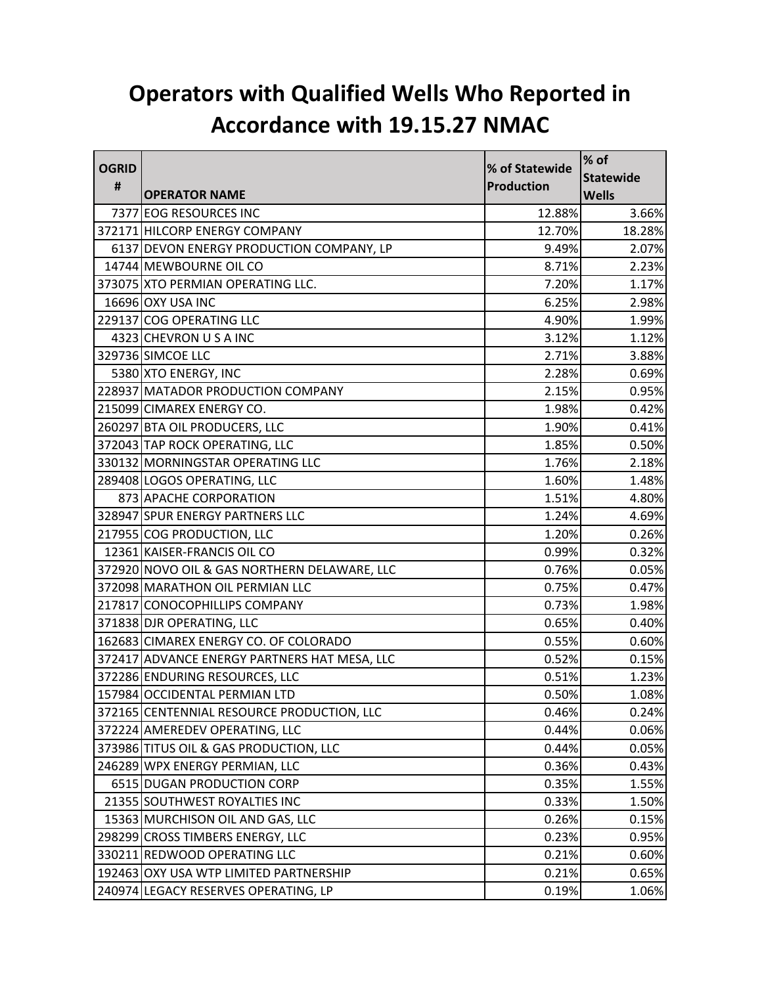## **Operators with Qualified Wells Who Reported in Accordance with 19.15.27 NMAC**

| <b>OGRID</b> |                                              | % of Statewide | % of             |
|--------------|----------------------------------------------|----------------|------------------|
| #            |                                              | Production     | <b>Statewide</b> |
|              | <b>OPERATOR NAME</b>                         |                | <b>Wells</b>     |
|              | 7377 EOG RESOURCES INC                       | 12.88%         | 3.66%            |
|              | 372171 HILCORP ENERGY COMPANY                | 12.70%         | 18.28%           |
|              | 6137 DEVON ENERGY PRODUCTION COMPANY, LP     | 9.49%          | 2.07%            |
|              | 14744 MEWBOURNE OIL CO                       | 8.71%          | 2.23%            |
|              | 373075 XTO PERMIAN OPERATING LLC.            | 7.20%          | 1.17%            |
|              | 16696 OXY USA INC                            | 6.25%          | 2.98%            |
|              | 229137 COG OPERATING LLC                     | 4.90%          | 1.99%            |
|              | 4323 CHEVRON U S A INC                       | 3.12%          | 1.12%            |
|              | 329736 SIMCOE LLC                            | 2.71%          | 3.88%            |
|              | 5380 XTO ENERGY, INC                         | 2.28%          | 0.69%            |
|              | 228937 MATADOR PRODUCTION COMPANY            | 2.15%          | 0.95%            |
|              | 215099 CIMAREX ENERGY CO.                    | 1.98%          | 0.42%            |
|              | 260297 BTA OIL PRODUCERS, LLC                | 1.90%          | 0.41%            |
|              | 372043 TAP ROCK OPERATING, LLC               | 1.85%          | 0.50%            |
|              | 330132 MORNINGSTAR OPERATING LLC             | 1.76%          | 2.18%            |
|              | 289408 LOGOS OPERATING, LLC                  | 1.60%          | 1.48%            |
|              | 873 APACHE CORPORATION                       | 1.51%          | 4.80%            |
|              | 328947 SPUR ENERGY PARTNERS LLC              | 1.24%          | 4.69%            |
|              | 217955 COG PRODUCTION, LLC                   | 1.20%          | 0.26%            |
|              | 12361 KAISER-FRANCIS OIL CO                  | 0.99%          | 0.32%            |
|              | 372920 NOVO OIL & GAS NORTHERN DELAWARE, LLC | 0.76%          | 0.05%            |
|              | 372098 MARATHON OIL PERMIAN LLC              | 0.75%          | 0.47%            |
|              | 217817 CONOCOPHILLIPS COMPANY                | 0.73%          | 1.98%            |
|              | 371838 DJR OPERATING, LLC                    | 0.65%          | 0.40%            |
|              | 162683 CIMAREX ENERGY CO. OF COLORADO        | 0.55%          | 0.60%            |
|              | 372417 ADVANCE ENERGY PARTNERS HAT MESA, LLC | 0.52%          | 0.15%            |
|              | 372286 ENDURING RESOURCES, LLC               | 0.51%          | 1.23%            |
|              | 157984 OCCIDENTAL PERMIAN LTD                | 0.50%          | 1.08%            |
|              | 372165 CENTENNIAL RESOURCE PRODUCTION, LLC   | 0.46%          | 0.24%            |
|              | 372224 AMEREDEV OPERATING, LLC               | 0.44%          | 0.06%            |
|              | 373986 TITUS OIL & GAS PRODUCTION, LLC       | 0.44%          | 0.05%            |
|              | 246289 WPX ENERGY PERMIAN, LLC               | 0.36%          | 0.43%            |
|              | 6515 DUGAN PRODUCTION CORP                   | 0.35%          | 1.55%            |
|              | 21355 SOUTHWEST ROYALTIES INC                | 0.33%          | 1.50%            |
|              | 15363 MURCHISON OIL AND GAS, LLC             | 0.26%          | 0.15%            |
|              | 298299 CROSS TIMBERS ENERGY, LLC             | 0.23%          | 0.95%            |
|              | 330211 REDWOOD OPERATING LLC                 | 0.21%          | 0.60%            |
|              | 192463 OXY USA WTP LIMITED PARTNERSHIP       | 0.21%          | 0.65%            |
|              | 240974 LEGACY RESERVES OPERATING, LP         | 0.19%          | 1.06%            |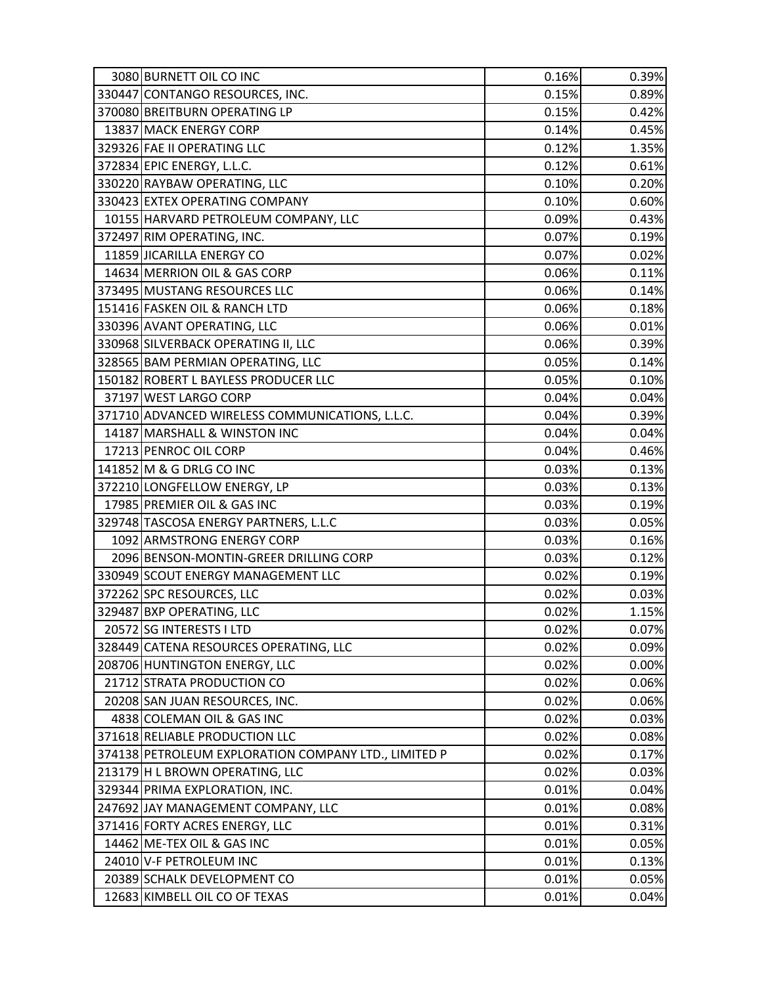| 3080 BURNETT OIL CO INC                              | 0.16% | 0.39% |
|------------------------------------------------------|-------|-------|
| 330447 CONTANGO RESOURCES, INC.                      | 0.15% | 0.89% |
| 370080 BREITBURN OPERATING LP                        | 0.15% | 0.42% |
| 13837 MACK ENERGY CORP                               | 0.14% | 0.45% |
| 329326 FAE II OPERATING LLC                          | 0.12% | 1.35% |
| 372834 EPIC ENERGY, L.L.C.                           | 0.12% | 0.61% |
| 330220 RAYBAW OPERATING, LLC                         | 0.10% | 0.20% |
| 330423 EXTEX OPERATING COMPANY                       | 0.10% | 0.60% |
| 10155 HARVARD PETROLEUM COMPANY, LLC                 | 0.09% | 0.43% |
| 372497 RIM OPERATING, INC.                           | 0.07% | 0.19% |
| 11859 JICARILLA ENERGY CO                            | 0.07% | 0.02% |
| 14634 MERRION OIL & GAS CORP                         | 0.06% | 0.11% |
| 373495 MUSTANG RESOURCES LLC                         | 0.06% | 0.14% |
| 151416 FASKEN OIL & RANCH LTD                        | 0.06% | 0.18% |
| 330396 AVANT OPERATING, LLC                          | 0.06% | 0.01% |
| 330968 SILVERBACK OPERATING II, LLC                  | 0.06% | 0.39% |
| 328565 BAM PERMIAN OPERATING, LLC                    | 0.05% | 0.14% |
| 150182 ROBERT L BAYLESS PRODUCER LLC                 | 0.05% | 0.10% |
| 37197 WEST LARGO CORP                                | 0.04% | 0.04% |
| 371710 ADVANCED WIRELESS COMMUNICATIONS, L.L.C.      | 0.04% | 0.39% |
| 14187 MARSHALL & WINSTON INC                         | 0.04% | 0.04% |
| 17213 PENROC OIL CORP                                | 0.04% | 0.46% |
| 141852 M & G DRLG CO INC                             | 0.03% | 0.13% |
| 372210 LONGFELLOW ENERGY, LP                         | 0.03% | 0.13% |
| 17985 PREMIER OIL & GAS INC                          | 0.03% | 0.19% |
| 329748 TASCOSA ENERGY PARTNERS, L.L.C                | 0.03% | 0.05% |
| 1092 ARMSTRONG ENERGY CORP                           | 0.03% | 0.16% |
| 2096 BENSON-MONTIN-GREER DRILLING CORP               | 0.03% | 0.12% |
| 330949 SCOUT ENERGY MANAGEMENT LLC                   | 0.02% | 0.19% |
| 372262 SPC RESOURCES, LLC                            | 0.02% | 0.03% |
| 329487 BXP OPERATING, LLC                            | 0.02% | 1.15% |
| 20572 SG INTERESTS I LTD                             | 0.02% | 0.07% |
| 328449 CATENA RESOURCES OPERATING, LLC               | 0.02% | 0.09% |
| 208706 HUNTINGTON ENERGY, LLC                        | 0.02% | 0.00% |
| 21712 STRATA PRODUCTION CO                           | 0.02% | 0.06% |
| 20208 SAN JUAN RESOURCES, INC.                       | 0.02% | 0.06% |
| 4838 COLEMAN OIL & GAS INC                           | 0.02% | 0.03% |
| 371618 RELIABLE PRODUCTION LLC                       | 0.02% | 0.08% |
| 374138 PETROLEUM EXPLORATION COMPANY LTD., LIMITED P | 0.02% | 0.17% |
| 213179 H L BROWN OPERATING, LLC                      | 0.02% | 0.03% |
| 329344 PRIMA EXPLORATION, INC.                       | 0.01% | 0.04% |
| 247692 JAY MANAGEMENT COMPANY, LLC                   | 0.01% | 0.08% |
| 371416 FORTY ACRES ENERGY, LLC                       | 0.01% | 0.31% |
| 14462 ME-TEX OIL & GAS INC                           | 0.01% | 0.05% |
| 24010 V-F PETROLEUM INC                              | 0.01% | 0.13% |
| 20389 SCHALK DEVELOPMENT CO                          | 0.01% | 0.05% |
| 12683 KIMBELL OIL CO OF TEXAS                        | 0.01% | 0.04% |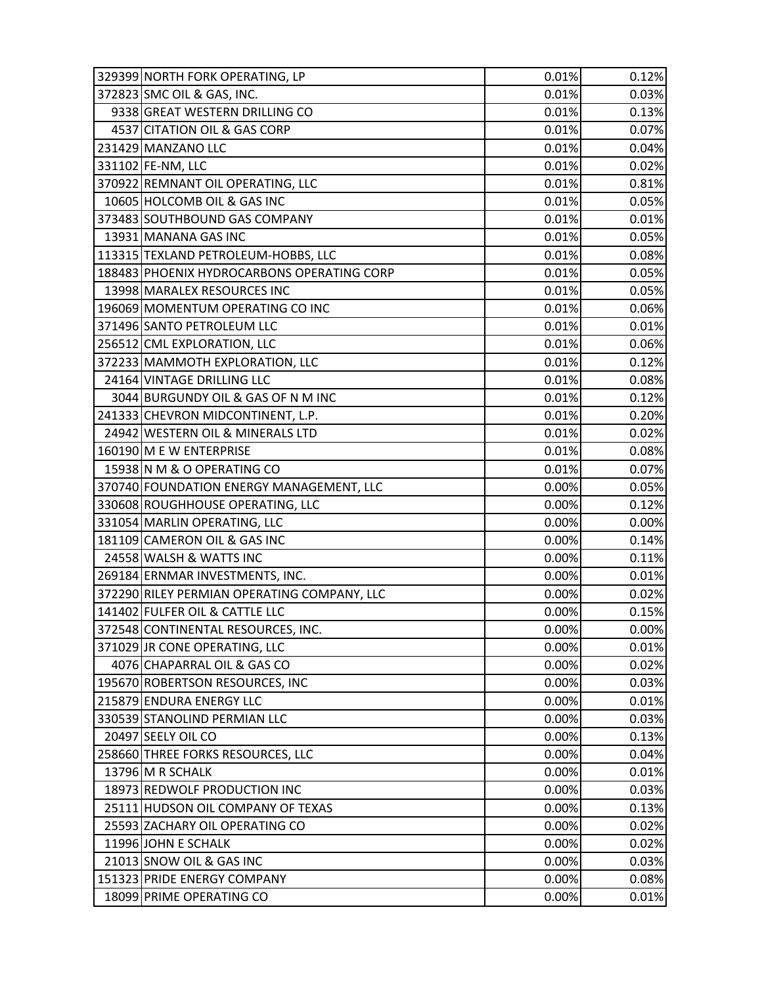| 329399 NORTH FORK OPERATING, LP             | 0.01% | 0.12% |
|---------------------------------------------|-------|-------|
| 372823 SMC OIL & GAS, INC.                  | 0.01% | 0.03% |
| 9338 GREAT WESTERN DRILLING CO              | 0.01% | 0.13% |
| 4537 CITATION OIL & GAS CORP                | 0.01% | 0.07% |
| 231429 MANZANO LLC                          | 0.01% | 0.04% |
| 331102 FE-NM, LLC                           | 0.01% | 0.02% |
| 370922 REMNANT OIL OPERATING, LLC           | 0.01% | 0.81% |
| 10605 HOLCOMB OIL & GAS INC                 | 0.01% | 0.05% |
| 373483 SOUTHBOUND GAS COMPANY               | 0.01% | 0.01% |
| 13931 MANANA GAS INC                        | 0.01% | 0.05% |
| 113315 TEXLAND PETROLEUM-HOBBS, LLC         | 0.01% | 0.08% |
| 188483 PHOENIX HYDROCARBONS OPERATING CORP  | 0.01% | 0.05% |
| 13998 MARALEX RESOURCES INC                 | 0.01% | 0.05% |
| 196069 MOMENTUM OPERATING CO INC            | 0.01% | 0.06% |
| 371496 SANTO PETROLEUM LLC                  | 0.01% | 0.01% |
| 256512 CML EXPLORATION, LLC                 | 0.01% | 0.06% |
| 372233 MAMMOTH EXPLORATION, LLC             | 0.01% | 0.12% |
| 24164 VINTAGE DRILLING LLC                  | 0.01% | 0.08% |
| 3044 BURGUNDY OIL & GAS OF N M INC          | 0.01% | 0.12% |
| 241333 CHEVRON MIDCONTINENT, L.P.           | 0.01% | 0.20% |
| 24942 WESTERN OIL & MINERALS LTD            | 0.01% | 0.02% |
| 160190 M E W ENTERPRISE                     | 0.01% | 0.08% |
| 15938 N M & O OPERATING CO                  | 0.01% | 0.07% |
| 370740 FOUNDATION ENERGY MANAGEMENT, LLC    | 0.00% | 0.05% |
| 330608 ROUGHHOUSE OPERATING, LLC            | 0.00% | 0.12% |
| 331054 MARLIN OPERATING, LLC                | 0.00% | 0.00% |
| 181109 CAMERON OIL & GAS INC                | 0.00% | 0.14% |
| 24558 WALSH & WATTS INC                     | 0.00% | 0.11% |
| 269184 ERNMAR INVESTMENTS, INC.             | 0.00% | 0.01% |
| 372290 RILEY PERMIAN OPERATING COMPANY, LLC | 0.00% | 0.02% |
| 141402 FULFER OIL & CATTLE LLC              | 0.00% | 0.15% |
| 372548 CONTINENTAL RESOURCES, INC.          | 0.00% | 0.00% |
| 371029 JR CONE OPERATING, LLC               | 0.00% | 0.01% |
| 4076 CHAPARRAL OIL & GAS CO                 | 0.00% | 0.02% |
| 195670 ROBERTSON RESOURCES, INC             | 0.00% | 0.03% |
| 215879 ENDURA ENERGY LLC                    | 0.00% | 0.01% |
| 330539 STANOLIND PERMIAN LLC                | 0.00% | 0.03% |
| 20497 SEELY OIL CO                          | 0.00% | 0.13% |
| 258660 THREE FORKS RESOURCES, LLC           | 0.00% | 0.04% |
| 13796 M R SCHALK                            | 0.00% | 0.01% |
| 18973 REDWOLF PRODUCTION INC                | 0.00% | 0.03% |
| 25111 HUDSON OIL COMPANY OF TEXAS           | 0.00% | 0.13% |
| 25593 ZACHARY OIL OPERATING CO              | 0.00% | 0.02% |
| 11996 JOHN E SCHALK                         | 0.00% | 0.02% |
| 21013 SNOW OIL & GAS INC                    | 0.00% | 0.03% |
| 151323 PRIDE ENERGY COMPANY                 | 0.00% | 0.08% |
| 18099 PRIME OPERATING CO                    | 0.00% | 0.01% |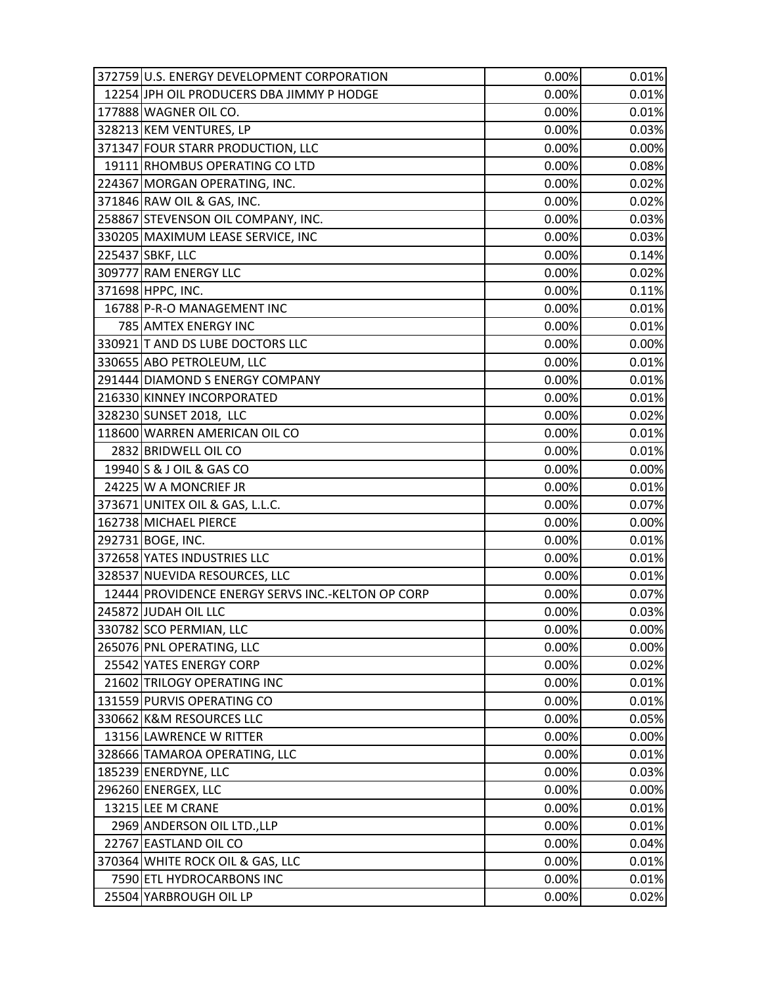| 372759 U.S. ENERGY DEVELOPMENT CORPORATION        | 0.00% | 0.01% |
|---------------------------------------------------|-------|-------|
| 12254 JPH OIL PRODUCERS DBA JIMMY P HODGE         | 0.00% | 0.01% |
| 177888 WAGNER OIL CO.                             | 0.00% | 0.01% |
| 328213 KEM VENTURES, LP                           | 0.00% | 0.03% |
| 371347 FOUR STARR PRODUCTION, LLC                 | 0.00% | 0.00% |
| 19111 RHOMBUS OPERATING CO LTD                    | 0.00% | 0.08% |
| 224367 MORGAN OPERATING, INC.                     | 0.00% | 0.02% |
| 371846 RAW OIL & GAS, INC.                        | 0.00% | 0.02% |
| 258867 STEVENSON OIL COMPANY, INC.                | 0.00% | 0.03% |
| 330205 MAXIMUM LEASE SERVICE, INC                 | 0.00% | 0.03% |
| 225437 SBKF, LLC                                  | 0.00% | 0.14% |
| 309777 RAM ENERGY LLC                             | 0.00% | 0.02% |
| 371698 HPPC, INC.                                 | 0.00% | 0.11% |
| 16788 P-R-O MANAGEMENT INC                        | 0.00% | 0.01% |
| 785 AMTEX ENERGY INC                              | 0.00% | 0.01% |
| 330921 T AND DS LUBE DOCTORS LLC                  | 0.00% | 0.00% |
| 330655 ABO PETROLEUM, LLC                         | 0.00% | 0.01% |
| 291444 DIAMOND S ENERGY COMPANY                   | 0.00% | 0.01% |
| 216330 KINNEY INCORPORATED                        | 0.00% | 0.01% |
| 328230 SUNSET 2018, LLC                           | 0.00% | 0.02% |
| 118600 WARREN AMERICAN OIL CO                     | 0.00% | 0.01% |
| 2832 BRIDWELL OIL CO                              | 0.00% | 0.01% |
| 19940 S & J OIL & GAS CO                          | 0.00% | 0.00% |
| 24225 W A MONCRIEF JR                             | 0.00% | 0.01% |
| 373671 UNITEX OIL & GAS, L.L.C.                   | 0.00% | 0.07% |
| 162738 MICHAEL PIERCE                             | 0.00% | 0.00% |
| 292731 BOGE, INC.                                 | 0.00% | 0.01% |
| 372658 YATES INDUSTRIES LLC                       | 0.00% | 0.01% |
| 328537 NUEVIDA RESOURCES, LLC                     | 0.00% | 0.01% |
| 12444 PROVIDENCE ENERGY SERVS INC.-KELTON OP CORP | 0.00% | 0.07% |
| 245872 JUDAH OIL LLC                              | 0.00% | 0.03% |
| 330782 SCO PERMIAN, LLC                           | 0.00% | 0.00% |
| 265076 PNL OPERATING, LLC                         | 0.00% | 0.00% |
| 25542 YATES ENERGY CORP                           | 0.00% | 0.02% |
| 21602 TRILOGY OPERATING INC                       | 0.00% | 0.01% |
| 131559 PURVIS OPERATING CO                        | 0.00% | 0.01% |
| 330662 K&M RESOURCES LLC                          | 0.00% | 0.05% |
| 13156 LAWRENCE W RITTER                           | 0.00% | 0.00% |
| 328666 TAMAROA OPERATING, LLC                     | 0.00% | 0.01% |
| 185239 ENERDYNE, LLC                              | 0.00% | 0.03% |
| 296260 ENERGEX, LLC                               | 0.00% | 0.00% |
| 13215 LEE M CRANE                                 | 0.00% | 0.01% |
| 2969 ANDERSON OIL LTD., LLP                       | 0.00% | 0.01% |
| 22767 EASTLAND OIL CO                             | 0.00% | 0.04% |
| 370364 WHITE ROCK OIL & GAS, LLC                  | 0.00% | 0.01% |
| 7590 ETL HYDROCARBONS INC                         | 0.00% | 0.01% |
| 25504 YARBROUGH OIL LP                            | 0.00% | 0.02% |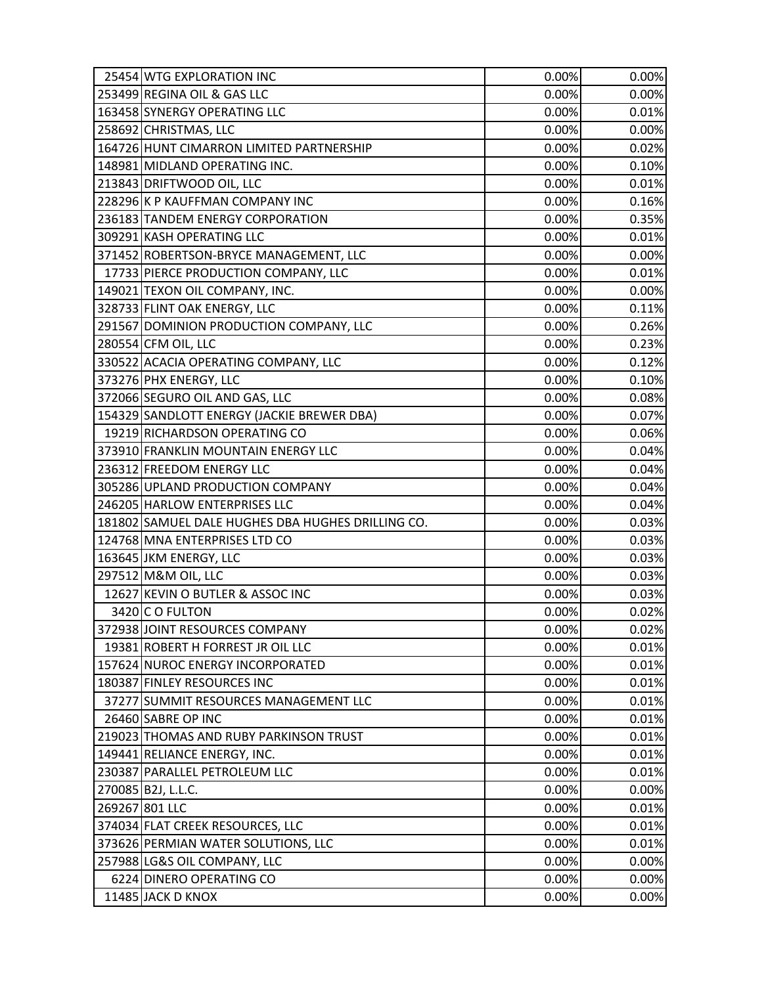| 25454 WTG EXPLORATION INC                         | 0.00% | 0.00% |
|---------------------------------------------------|-------|-------|
| 253499 REGINA OIL & GAS LLC                       | 0.00% | 0.00% |
| 163458 SYNERGY OPERATING LLC                      | 0.00% | 0.01% |
| 258692 CHRISTMAS, LLC                             | 0.00% | 0.00% |
| 164726 HUNT CIMARRON LIMITED PARTNERSHIP          | 0.00% | 0.02% |
| 148981 MIDLAND OPERATING INC.                     | 0.00% | 0.10% |
| 213843 DRIFTWOOD OIL, LLC                         | 0.00% | 0.01% |
| 228296 K P KAUFFMAN COMPANY INC                   | 0.00% | 0.16% |
| 236183 TANDEM ENERGY CORPORATION                  | 0.00% | 0.35% |
| 309291 KASH OPERATING LLC                         | 0.00% | 0.01% |
| 371452 ROBERTSON-BRYCE MANAGEMENT, LLC            | 0.00% | 0.00% |
| 17733 PIERCE PRODUCTION COMPANY, LLC              | 0.00% | 0.01% |
| 149021 TEXON OIL COMPANY, INC.                    | 0.00% | 0.00% |
| 328733 FLINT OAK ENERGY, LLC                      | 0.00% | 0.11% |
| 291567 DOMINION PRODUCTION COMPANY, LLC           | 0.00% | 0.26% |
| 280554 CFM OIL, LLC                               | 0.00% | 0.23% |
| 330522 ACACIA OPERATING COMPANY, LLC              | 0.00% | 0.12% |
| 373276 PHX ENERGY, LLC                            | 0.00% | 0.10% |
| 372066 SEGURO OIL AND GAS, LLC                    | 0.00% | 0.08% |
| 154329 SANDLOTT ENERGY (JACKIE BREWER DBA)        | 0.00% | 0.07% |
| 19219 RICHARDSON OPERATING CO                     | 0.00% | 0.06% |
| 373910 FRANKLIN MOUNTAIN ENERGY LLC               | 0.00% | 0.04% |
| 236312 FREEDOM ENERGY LLC                         | 0.00% | 0.04% |
| 305286 UPLAND PRODUCTION COMPANY                  | 0.00% | 0.04% |
| 246205 HARLOW ENTERPRISES LLC                     | 0.00% | 0.04% |
| 181802 SAMUEL DALE HUGHES DBA HUGHES DRILLING CO. | 0.00% | 0.03% |
| 124768 MNA ENTERPRISES LTD CO                     | 0.00% | 0.03% |
| 163645 JKM ENERGY, LLC                            | 0.00% | 0.03% |
| 297512 M&M OIL, LLC                               | 0.00% | 0.03% |
| 12627 KEVIN O BUTLER & ASSOC INC                  | 0.00% | 0.03% |
| 3420 C O FULTON                                   | 0.00% | 0.02% |
| 372938 JOINT RESOURCES COMPANY                    | 0.00% | 0.02% |
| 19381 ROBERT H FORREST JR OIL LLC                 | 0.00% | 0.01% |
| 157624 NUROC ENERGY INCORPORATED                  | 0.00% | 0.01% |
| 180387 FINLEY RESOURCES INC                       | 0.00% | 0.01% |
| 37277 SUMMIT RESOURCES MANAGEMENT LLC             | 0.00% | 0.01% |
| 26460 SABRE OP INC                                | 0.00% | 0.01% |
| 219023 THOMAS AND RUBY PARKINSON TRUST            | 0.00% | 0.01% |
| 149441 RELIANCE ENERGY, INC.                      | 0.00% | 0.01% |
| 230387 PARALLEL PETROLEUM LLC                     | 0.00% | 0.01% |
| 270085 B2J, L.L.C.                                | 0.00% | 0.00% |
| 269267 801 LLC                                    | 0.00% | 0.01% |
| 374034 FLAT CREEK RESOURCES, LLC                  | 0.00% | 0.01% |
| 373626 PERMIAN WATER SOLUTIONS, LLC               | 0.00% | 0.01% |
| 257988 LG&S OIL COMPANY, LLC                      | 0.00% | 0.00% |
| 6224 DINERO OPERATING CO                          | 0.00% | 0.00% |
| 11485 JACK D KNOX                                 | 0.00% | 0.00% |